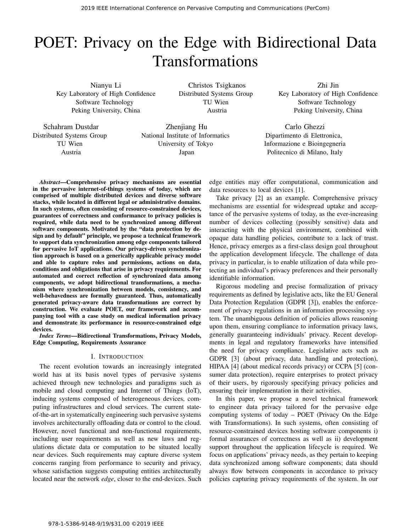# POET: Privacy on the Edge with Bidirectional Data Transformations

Nianyu Li Key Laboratory of High Confidence Software Technology Peking University, China

Christos Tsigkanos Distributed Systems Group TU Wien Austria

Zhi Jin Key Laboratory of High Confidence Software Technology Peking University, China

Schahram Dustdar Distributed Systems Group TU Wien Austria

Zhenjiang Hu National Institute of Informatics University of Tokyo Japan

Dipartimento di Elettronica, Informazione e Bioingegneria Politecnico di Milano, Italy

Carlo Ghezzi

*Abstract*—Comprehensive privacy mechanisms are essential in the pervasive internet-of-things systems of today, which are comprised of multiple distributed devices and diverse software stacks, while located in different legal or administrative domains. In such systems, often consisting of resource-constrained devices, guarantees of correctness and conformance to privacy policies is required, while data need to be synchronized among different software components. Motivated by the "data protection by design and by default" principle, we propose a technical framework to support data synchronization among edge components tailored for pervasive IoT applications. Our privacy-driven synchronization approach is based on a generically applicable privacy model and able to capture roles and permissions, actions on data, conditions and obligations that arise in privacy requirements. For automated and correct reflection of synchronized data among components, we adopt bidirectional transformations, a mechanism where synchronization between models, consistency, and well-behavedness are formally guaranteed. Thus, automatically generated privacy-aware data transformations are correct by construction. We evaluate POET, our framework and accompanying tool with a case study on medical information privacy and demonstrate its performance in resource-constrained edge devices.

*Index Terms*—Bidirectional Transformations, Privacy Models, Edge Computing, Requirements Assurance

## I. INTRODUCTION

The recent evolution towards an increasingly integrated world has at its basis novel types of pervasive systems achieved through new technologies and paradigms such as mobile and cloud computing and Internet of Things (IoT), inducing systems composed of heterogeneous devices, computing infrastructures and cloud services. The current stateof-the-art in systematically engineering such pervasive systems involves architecturally offloading data or control to the cloud. However, novel functional and non-functional requirements, including user requirements as well as new laws and regulations dictate data or computation to be situated locally near devices. Such requirements may capture diverse system concerns ranging from performance to security and privacy, whose satisfaction suggests computing entities architecturally located near the network *edge*, closer to the end-devices. Such

edge entities may offer computational, communication and data resources to local devices [1].

Take privacy [2] as an example. Comprehensive privacy mechanisms are essential for widespread uptake and acceptance of the pervasive systems of today, as the ever-increasing number of devices collecting (possibly sensitive) data and interacting with the physical environment, combined with opaque data handling policies, contribute to a lack of trust. Hence, privacy emerges as a first-class design goal throughout the application development lifecycle. The challenge of data privacy in particular, is to enable utilization of data while protecting an individual's privacy preferences and their personally identifiable information.

Rigorous modeling and precise formalization of privacy requirements as defined by legislative acts, like the EU General Data Protection Regulation (GDPR [3]), enables the enforcement of privacy regulations in an information processing system. The unambiguous definition of policies allows reasoning upon them, ensuring compliance to information privacy laws, generally guaranteeing individuals' privacy. Recent developments in legal and regulatory frameworks have intensified the need for privacy compliance. Legislative acts such as GDPR [3] (about privacy, data handling and protection), HIPAA [4] (about medical records privacy) or CCPA [5] (consumer data protection), require enterprises to protect privacy of their users, by rigorously specifying privacy policies and ensuring their implementation in their activities.

In this paper, we propose a novel technical framework to engineer data privacy tailored for the pervasive edge computing systems of today – POET (Privacy On the Edge with Transformations). In such systems, often consisting of resource-constrained devices hosting software components i) formal assurances of correctness as well as ii) development support throughout the application lifecycle is required. We focus on applications' privacy needs, as they pertain to keeping data synchronized among software components; data should always flow between components in accordance to privacy policies capturing privacy requirements of the system. In our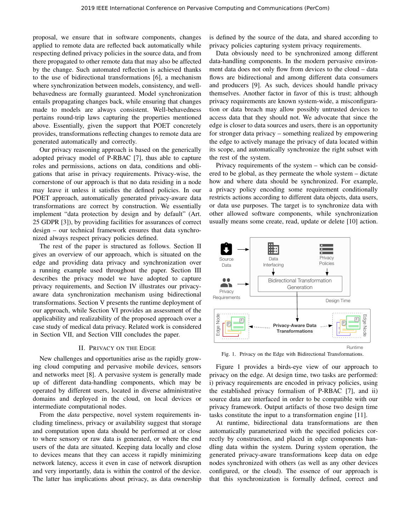proposal, we ensure that in software components, changes applied to remote data are reflected back automatically while respecting defined privacy policies in the source data, and from there propagated to other remote data that may also be affected by the change. Such automated reflection is achieved thanks to the use of bidirectional transformations [6], a mechanism where synchronization between models, consistency, and wellbehavedness are formally guaranteed. Model synchronization entails propagating changes back, while ensuring that changes made to models are always consistent. Well-behavedness pertains round-trip laws capturing the properties mentioned above. Essentially, given the support that POET concretely provides, transformations reflecting changes to remote data are generated automatically and correctly.

Our privacy reasoning approach is based on the generically adopted privacy model of P-RBAC [7], thus able to capture roles and permissions, actions on data, conditions and obligations that arise in privacy requirements. Privacy-wise, the cornerstone of our approach is that no data residing in a node may leave it unless it satisfies the defined policies. In our POET approach, automatically generated privacy-aware data transformations are correct by construction. We essentially implement "data protection by design and by default" (Art. 25 GDPR [3]), by providing facilities for assurances of correct design – our technical framework ensures that data synchronized always respect privacy policies defined.

The rest of the paper is structured as follows. Section II gives an overview of our approach, which is situated on the edge and providing data privacy and synchronization over a running example used throughout the paper. Section III describes the privacy model we have adopted to capture privacy requirements, and Section IV illustrates our privacyaware data synchronization mechanism using bidirectional transformations. Section V presents the runtime deployment of our approach, while Section VI provides an assessment of the applicability and realizability of the proposed approach over a case study of medical data privacy. Related work is considered in Section VII, and Section VIII concludes the paper.

#### II. PRIVACY ON THE EDGE

New challenges and opportunities arise as the rapidly growing cloud computing and pervasive mobile devices, sensors and networks meet [8]. A pervasive system is generally made up of different data-handling components, which may be operated by different users, located in diverse administrative domains and deployed in the cloud, on local devices or intermediate computational nodes.

From the *data* perspective, novel system requirements including timeliness, privacy or availability suggest that storage and computation upon data should be performed at or close to where sensory or raw data is generated, or where the end users of the data are situated. Keeping data locally and close to devices means that they can access it rapidly minimizing network latency, access it even in case of network disruption and very importantly, data is within the control of the device. The latter has implications about privacy, as data ownership

is defined by the source of the data, and shared according to privacy policies capturing system privacy requirements.

Data obviously need to be synchronized among different data-handling components. In the modern pervasive environment data does not only flow from devices to the cloud – data flows are bidirectional and among different data consumers and producers [9]. As such, devices should handle privacy themselves. Another factor in favor of this is trust; although privacy requirements are known system-wide, a misconfiguration or data breach may allow possibly untrusted devices to access data that they should not. We advocate that since the edge is closer to data sources and users, there is an opportunity for stronger data privacy – something realized by empowering the edge to actively manage the privacy of data located within its scope, and automatically synchronize the right subset with the rest of the system.

Privacy requirements of the system – which can be considered to be global, as they permeate the whole system – dictate how and where data should be synchronized. For example, a privacy policy encoding some requirement conditionally restricts actions according to different data objects, data users, or data use purposes. The target is to synchronize data with other allowed software components, while synchronization usually means some create, read, update or delete [10] action.



Fig. 1. Privacy on the Edge with Bidirectional Transformations.

Figure 1 provides a birds-eye view of our approach to privacy on the edge. At design time, two tasks are performed: i) privacy requirements are encoded in privacy policies, using the established privacy formalism of P-RBAC [7], and ii) source data are interfaced in order to be compatible with our privacy framework. Output artifacts of those two design time tasks constitute the input to a transformation engine [11].

At runtime, bidirectional data transformations are then automatically parameterized with the specified policies correctly by construction, and placed in edge components handling data within the system. During system operation, the generated privacy-aware transformations keep data on edge nodes synchronized with others (as well as any other devices configured, or the cloud). The essence of our approach is that this synchronization is formally defined, correct and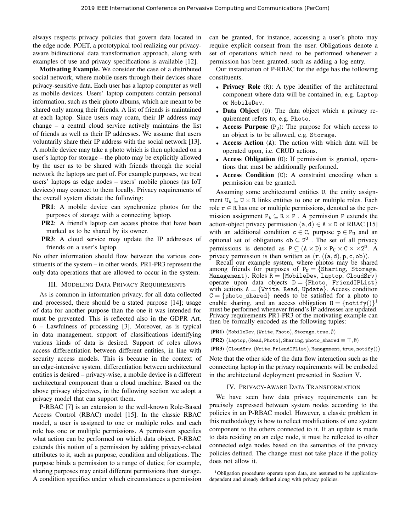always respects privacy policies that govern data located in the edge node. POET, a prototypical tool realizing our privacyaware bidirectional data transformation approach, along with examples of use and privacy specifications is available [12].

Motivating Example. We consider the case of a distributed social network, where mobile users through their devices share privacy-sensitive data. Each user has a laptop computer as well as mobile devices. Users' laptop computers contain personal information, such as their photo albums, which are meant to be shared only among their friends. A list of friends is maintained at each laptop. Since users may roam, their IP address may change – a central cloud service actively maintains the list of friends as well as their IP addresses. We assume that users voluntarily share their IP address with the social network [13]. A mobile device may take a photo which is then uploaded on a user's laptop for storage – the photo may be explicitly allowed by the user as to be shared with friends through the social network the laptops are part of. For example purposes, we treat users' laptops as edge nodes – users' mobile phones (as IoT devices) may connect to them locally. Privacy requirements of the overall system dictate the following:

- PR1: A mobile device can synchronize photos for the purposes of storage with a connecting laptop.
- PR2: A friend's laptop can access photos that have been marked as to be shared by its owner.
- PR3: A cloud service may update the IP addresses of friends on a user's laptop.

No other information should flow between the various constituents of the system – in other words, PR1-PR3 represent the only data operations that are allowed to occur in the system.

#### III. MODELING DATA PRIVACY REQUIREMENTS

As is common in information privacy, for all data collected and processed, there should be a stated purpose [14]; usage of data for another purpose than the one it was intended for must be prevented. This is reflected also in the GDPR Art. 6 – Lawfulness of processing [3]. Moreover, as is typical in data management, support of classifications identifying various kinds of data is desired. Support of roles allows access differentiation between different entities, in line with security access models. This is because in the context of an edge-intensive system, differentiation between architectural entities is desired – privacy-wise, a mobile device is a different architectural component than a cloud machine. Based on the above privacy objectives, in the following section we adopt a privacy model that can support them.

P-RBAC [7] is an extension to the well-known Role-Based Access Control (RBAC) model [15]. In the classic RBAC model, a user is assigned to one or multiple roles and each role has one or multiple permissions. A permission specifies what action can be performed on which data object. P-RBAC extends this notion of a permission by adding privacy-related attributes to it, such as purpose, condition and obligations. The purpose binds a permission to a range of duties; for example, sharing purposes may entail different permissions than storage. A condition specifies under which circumstances a permission can be granted, for instance, accessing a user's photo may require explicit consent from the user. Obligations denote a set of operations which need to be performed whenever a permission has been granted, such as adding a log entry.

Our instantiation of P-RBAC for the edge has the following constituents.

- Privacy Role (R): A type identifier of the architectural component where data will be contained in, e.g. Laptop or MobileDev.
- Data Object (D): The data object which a privacy requirement refers to, e.g. Photo.
- **Access Purpose**  $(P_U)$ : The purpose for which access to an object is to be allowed, e.g. Storage.
- Access Action (A): The action with which data will be operated upon, i.e. CRUD actions.
- Access Obligation (O): If permission is granted, operations that must be additionally performed.
- Access Condition (C): A constraint encoding when a permission can be granted.

Assuming some architectural entities U, the entity assignment  $U_A \subseteq U \times R$  links entities to one or multiple roles. Each role  $r \in R$  has one or multiple permissions, denoted as the permission assignment  $P_A \subseteq R \times P$ . A permission P extends the action-object privacy permission (a, d)  $\in$  A  $\times$  D of RBAC [15] with an additional condition  $c \in C$ , purpose  $p \in P_U$  and an optional set of obligations  $ob \subseteq 2^0$ . The set of all privacy permissions is denoted as  $P \subseteq (A \times D) \times P_U \times C \times \times 2^0$ . A privacy permission is then written as  $(r, ((a, d), p, c, ob))$ .

Recall our example system, where photos may be shared among friends for purposes of  $P_U = \{Sharing, St orange,$ Management}. Roles  $R = \{M \text{obileDev}, \text{Laptop}, \text{CloudSrv}\}$ operate upon data objects  $D = \{Photo, FriendIPList\}$ with actions  $A = \{Write, Read, Update\}$ . Access condition  $C = \{\text{photo}\_\text{shared}\}\$  needs to be satisfied for a photo to enable sharing, and an access obligation  $0 = {\text{notify}(i)}^1$ must be performed whenever friend's IP addresses are updated. Privacy requirements PR1-PR3 of the motivating example can then be formally encoded as the following tuples:

 $(\textbf{PR1})$   $\big(\textsf{MobileDev}, (\textsf{Write}, \textsf{Photo}), \textsf{Storage}, \textsf{true}, \emptyset\big)$ 

(PR2)  $(\mathtt{Laptop},(\mathtt{Read},\mathtt{Photo}),\mathtt{Sharing},\mathtt{photo\_shared}\equiv\top,\emptyset)$ 

 $(\textbf{PR3}) \; \big(\texttt{CloudSrv}, (\texttt{Write}, \texttt{FreadIPList}), \texttt{Management}, \texttt{true}, \texttt{notify}() \big)$ 

Note that the other side of the data flow interaction such as the connecting laptop in the privacy requirements will be embeded in the architectural deployment presented in Section V.

#### IV. PRIVACY-AWARE DATA TRANSFORMATION

We have seen how data privacy requirements can be precisely expressed between system nodes according to the policies in an P-RBAC model. However, a classic problem in this methodology is how to reflect modifications of one system component to the others connected to it. If an update is made to data residing on an edge node, it must be reflected to other connected edge nodes based on the semantics of the privacy policies defined. The change must not take place if the policy does not allow it.

 $1$ Obligation procedures operate upon data, are assumed to be applicationdependent and already defined along with privacy policies.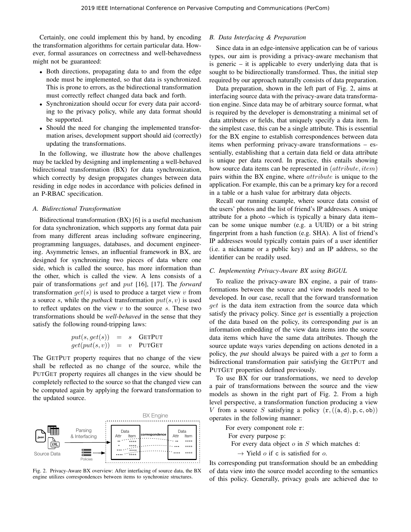Certainly, one could implement this by hand, by encoding the transformation algorithms for certain particular data. However, formal assurances on correctness and well-behavedness might not be guaranteed:

- Both directions, propagating data to and from the edge node must be implemented, so that data is synchronized. This is prone to errors, as the bidirectional transformation must correctly reflect changed data back and forth.
- Synchronization should occur for every data pair according to the privacy policy, while any data format should be supported.
- Should the need for changing the implemented transformation arises, development support should aid (correctly) updating the transformations.

In the following, we illustrate how the above challenges may be tackled by designing and implementing a well-behaved bidirectional transformation (BX) for data synchronization, which correctly by design propagates changes between data residing in edge nodes in accordance with policies defined in an P-RBAC specification.

#### *A. Bidirectional Transformation*

Bidirectional transformation (BX) [6] is a useful mechanism for data synchronization, which supports any format data pair from many different areas including software engineering, programming languages, databases, and document engineering. Asymmetric lenses, an influential framework in BX, are designed for synchronizing two pieces of data where one side, which is called the source, has more information than the other, which is called the view. A lens consists of a pair of transformations get and put [16], [17]. The *forward* transformation  $get(s)$  is used to produce a target view v from a source s, while the *putback* transformation  $put(s, v)$  is used to reflect updates on the view  $v$  to the source  $s$ . These two transformations should be *well-behaved* in the sense that they satisfy the following round-tripping laws:

$$
put(s, get(s)) = s
$$
 GETPUT  

$$
get(put(s, v)) = v
$$
 PUTGET

The GETPUT property requires that no change of the view shall be reflected as no change of the source, while the PUTGET property requires all changes in the view should be completely reflected to the source so that the changed view can be computed again by applying the forward transformation to the updated source.



Fig. 2. Privacy-Aware BX overview: After interfacing of source data, the BX engine utilizes correspondences between items to synchronize structures.

# *B. Data Interfacing & Preparation*

Since data in an edge-intensive application can be of various types, our aim is providing a privacy-aware mechanism that is generic – it is applicable to every underlying data that is sought to be bidirectionally transformed. Thus, the initial step required by our approach naturally consists of data preparation.

Data preparation, shown in the left part of Fig. 2, aims at interfacing source data with the privacy-aware data transformation engine. Since data may be of arbitrary source format, what is required by the developer is demonstrating a minimal set of data attributes or fields, that uniquely specify a data item. In the simplest case, this can be a single attribute. This is essential for the BX engine to establish correspondences between data items when performing privacy-aware transformations – essentially, establishing that a certain data field or data attribute is unique per data record. In practice, this entails showing how source data items can be represented in  $(\text{attribute}, \text{item})$ pairs within the BX engine, where attribute is unique to the application. For example, this can be a primary key for a record in a table or a hash value for arbitrary data objects.

Recall our running example, where source data consist of the users' photos and the list of friend's IP addresses. A unique attribute for a photo –which is typically a binary data item– can be some unique number (e.g. a UUID) or a bit string fingerprint from a hash function (e.g. SHA). A list of friend's IP addresses would typically contain pairs of a user identifier (i.e. a nickname or a public key) and an IP address, so the identifier can be readily used.

#### *C. Implementing Privacy-Aware BX using BiGUL*

To realize the privacy-aware BX engine, a pair of transformations between the source and view models need to be developed. In our case, recall that the forward transformation get is the data item extraction from the source data which satisfy the privacy policy. Since *get* is essentially a projection of the data based on the policy, its corresponding *put* is an information embedding of the view data items into the source data items which have the same data attributes. Though the source update ways varies depending on actions denoted in a policy, the *put* should always be paired with a *get* to form a bidirectional transformation pair satisfying the GETPUT and PUTGET properties defined previously.

To use BX for our transformations, we need to develop a pair of transformations between the source and the view models as shown in the right part of Fig. 2. From a high level perspective, a transformation function producing a view V from a source S satisfying a policy  $(r, ((a, d), p, c, ob))$ operates in the following manner:

For every component role r: For every purpose p: For every data object  $o$  in  $S$  which matches d:  $\rightarrow$  Yield *o* if c is satisfied for *o*.

Its corresponding put transformation should be an embedding of data view into the source model according to the semantics of this policy. Generally, privacy goals are achieved due to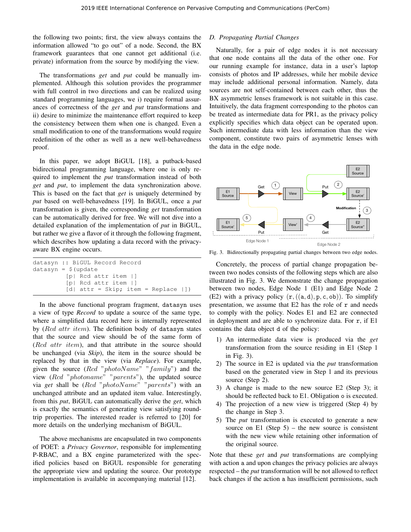the following two points; first, the view always contains the information allowed "to go out" of a node. Second, the BX framework guarantees that one cannot get additional (i.e. private) information from the source by modifying the view.

The transformations *get* and *put* could be manually implemented. Although this solution provides the programmer with full control in two directions and can be realized using standard programming languages, we i) require formal assurances of correctness of the *get* and *put* transformations and ii) desire to minimize the maintenance effort required to keep the consistency between them when one is changed. Even a small modification to one of the transformations would require redefinition of the other as well as a new well-behavedness proof.

In this paper, we adopt BiGUL [18], a putback-based bidirectional programming language, where one is only required to implement the *put* transformation instead of both *get* and *put*, to implement the data synchronization above. This is based on the fact that *get* is uniquely determined by *put* based on well-behavedness [19]. In BiGUL, once a *put* transformation is given, the corresponding *get* transformation can be automatically derived for free. We will not dive into a detailed explanation of the implementation of *put* in BiGUL, but rather we give a flavor of it through the following fragment, which describes how updating a data record with the privacyaware BX engine occurs.

|                                 | datasyn :: BiGUL Record Record                                  |  |  |  |
|---------------------------------|-----------------------------------------------------------------|--|--|--|
| datasyn = $\frac{1}{2}$ (update |                                                                 |  |  |  |
|                                 | $[p]$ Rcd attr item $ ]$                                        |  |  |  |
|                                 | [p] Rcd attr item   ]                                           |  |  |  |
|                                 | $\lceil d \rceil$ attr = Skip; item = Replace $\lceil \rceil$ ) |  |  |  |

In the above functional program fragment, datasyn uses a view of type *Record* to update a source of the same type, where a simplified data record here is internally represented by  $(Rcd$  attr item). The definition body of datasyn states that the source and view should be of the same form of (Rcd attr item), and that attribute in the source should be unchanged (via *Skip*), the item in the source should be replaced by that in the view (via *Replace*). For example, given the source  $(Rcd$  "photoName" "family") and the view (Rcd "photoname" "parents"), the updated source via *get* shall be (Rcd "photoName" "parents") with an unchanged attribute and an updated item value. Interestingly, from this *put*, BiGUL can automatically derive the *get*, which is exactly the semantics of generating view satisfying roundtrip properties. The interested reader is referred to [20] for more details on the underlying mechanism of BiGUL.

The above mechanisms are encapsulated in two components of POET: a *Privacy Governor*, responsible for implementing P-RBAC, and a BX engine parameterized with the specified policies based on BiGUL responsible for generating the appropriate view and updating the source. Our prototype implementation is available in accompanying material [12].

# *D. Propagating Partial Changes*

Naturally, for a pair of edge nodes it is not necessary that one node contains all the data of the other one. For our running example for instance, data in a user's laptop consists of photos and IP addresses, while her mobile device may include additional personal information. Namely, data sources are not self-contained between each other, thus the BX asymmetric lenses framework is not suitable in this case. Intuitively, the data fragment corresponding to the photos can be treated as intermediate data for PR1, as the privacy policy explicitly specifies which data object can be operated upon. Such intermediate data with less information than the view component, constitute two pairs of asymmetric lenses with the data in the edge node.



Fig. 3. Bidirectionally propagating partial changes between two edge nodes.

Concretely, the process of partial change propagation between two nodes consists of the following steps which are also illustrated in Fig. 3. We demonstrate the change propagation between two nodes, Edge Node 1 (E1) and Edge Node 2 (E2) with a privacy policy  $(r, ((a, d), p, c, ob))$ . To simplify presentation, we assume that  $E2$  has the role of  $r$  and needs to comply with the policy. Nodes E1 and E2 are connected in deployment and are able to synchronize data. For r, if E1 contains the data object d of the policy:

- 1) An intermediate data view is produced via the *get* transformation from the source residing in E1 (Step 1 in Fig. 3).
- 2) The source in E2 is updated via the *put* transformation based on the generated view in Step 1 and its previous source (Step 2).
- 3) A change is made to the new source E2 (Step 3); it should be reflected back to E1. Obligation o is executed.
- 4) The projection of a new view is triggered (Step 4) by the change in Step 3.
- 5) The *put* transformation is executed to generate a new source on E1 (Step  $5$ ) – the new source is consistent with the new view while retaining other information of the original source.

Note that these *get* and *put* transformations are complying with action a and upon changes the privacy policies are always respected – the *put* transformation will be not allowed to reflect back changes if the action a has insufficient permissions, such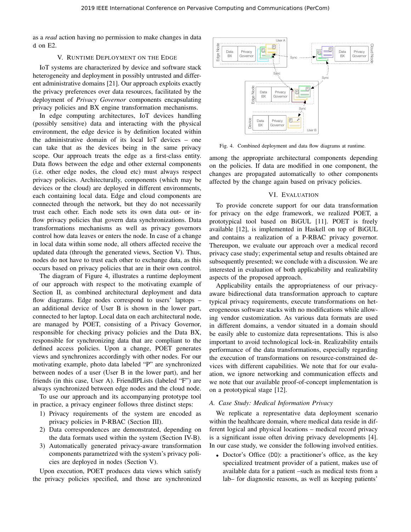as a *read* action having no permission to make changes in data d on E2.

# V. RUNTIME DEPLOYMENT ON THE EDGE

IoT systems are characterized by device and software stack heterogeneity and deployment in possibly untrusted and different administrative domains [21]. Our approach exploits exactly the privacy preferences over data resources, facilitated by the deployment of *Privacy Governor* components encapsulating privacy policies and BX engine transformation mechanisms.

In edge computing architectures, IoT devices handling (possibly sensitive) data and interacting with the physical environment, the edge device is by definition located within the administrative domain of its local IoT devices – one can take that as the devices being in the same privacy scope. Our approach treats the edge as a first-class entity. Data flows between the edge and other external components (i.e. other edge nodes, the cloud etc) must always respect privacy policies. Architecturally, components (which may be devices or the cloud) are deployed in different environments, each containing local data. Edge and cloud components are connected through the network, but they do not necessarily trust each other. Each node sets its own data out- or inflow privacy policies that govern data synchronizations. Data transformations mechanisms as well as privacy governors control how data leaves or enters the node. In case of a change in local data within some node, all others affected receive the updated data (through the generated views, Section V). Thus, nodes do not have to trust each other to exchange data, as this occurs based on privacy policies that are in their own control.

The diagram of Figure 4, illustrates a runtime deployment of our approach with respect to the motivating example of Section II, as combined architectural deployment and data flow diagrams. Edge nodes correspond to users' laptops – an additional device of User B is shown in the lower part, connected to her laptop. Local data on each architectural node, are managed by POET, consisting of a Privacy Governor, responsible for checking privacy policies and the Data BX, responsible for synchronizing data that are compliant to the defined access policies. Upon a change, POET generates views and synchronizes accordingly with other nodes. For our motivating example, photo data labeled "P" are synchronized between nodes of a user (User B in the lower part), and her friends (in this case, User A). FriendIPLists (labeled "F") are always synchronized between edge nodes and the cloud node.

To use our approach and its accompanying prototype tool in practice, a privacy engineer follows three distinct steps:

- 1) Privacy requirements of the system are encoded as privacy policies in P-RBAC (Section III).
- 2) Data correspondences are demonstrated, depending on the data formats used within the system (Section IV-B).
- 3) Automatically generated privacy-aware transformation components parametrized with the system's privacy policies are deployed in nodes (Section V).

Upon execution, POET produces data views which satisfy the privacy policies specified, and those are synchronized



Fig. 4. Combined deployment and data flow diagrams at runtime.

among the appropriate architectural components depending on the policies. If data are modified in one component, the changes are propagated automatically to other components affected by the change again based on privacy policies.

## VI. EVALUATION

To provide concrete support for our data transformation for privacy on the edge framework, we realized POET, a prototypical tool based on BiGUL [11]. POET is freely available [12], is implemented in Haskell on top of BiGUL and contains a realization of a P-RBAC privacy governor. Thereupon, we evaluate our approach over a medical record privacy case study; experimental setup and results obtained are subsequently presented; we conclude with a discussion. We are interested in evaluation of both applicability and realizability aspects of the proposed approach.

Applicability entails the appropriateness of our privacyaware bidirectional data transformation approach to capture typical privacy requirements, execute transformations on heterogeneous software stacks with no modifications while allowing vendor customization. As various data formats are used in different domains, a vendor situated in a domain should be easily able to customize data representations. This is also important to avoid technological lock-in. Realizability entails performance of the data transformations, especially regarding the execution of transformations on resource-constrained devices with different capabilities. We note that for our evaluation, we ignore networking and communication effects and we note that our available proof-of-concept implementation is on a prototypical stage [12].

# *A. Case Study: Medical Information Privacy*

We replicate a representative data deployment scenario within the healthcare domain, where medical data reside in different logical and physical locations – medical record privacy is a significant issue often driving privacy developments [4]. In our case study, we consider the following involved entities.

• Doctor's Office (DO): a practitioner's office, as the key specialized treatment provider of a patient, makes use of available data for a patient –such as medical tests from a lab– for diagnostic reasons, as well as keeping patients'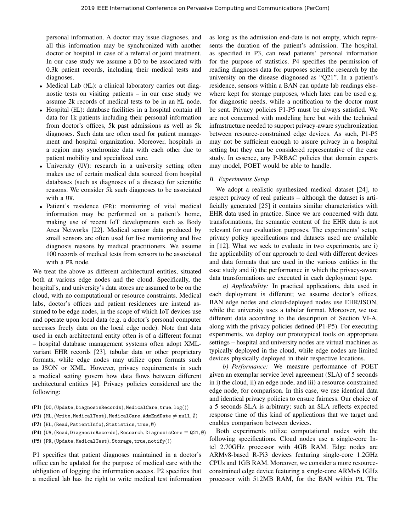personal information. A doctor may issue diagnoses, and all this information may be synchronized with another doctor or hospital in case of a referral or joint treatment. In our case study we assume a DO to be associated with 0.3k patient records, including their medical tests and diagnoses.

- Medical Lab (ML): a clinical laboratory carries out diagnostic tests on visiting patients – in our case study we assume 2k records of medical tests to be in an ML node.
- Hospital (HL): database facilities in a hospital contain all data for 1k patients including their personal information from doctor's offices, 5k past admissions as well as 5k diagnoses. Such data are often used for patient management and hospital organization. Moreover, hospitals in a region may synchronize data with each other due to patient mobility and specialized care.
- University (UV): research in a university setting often makes use of certain medical data sourced from hospital databases (such as diagnoses of a disease) for scientific reasons. We consider 5k such diagnoses to be associated with a UV.
- Patient's residence (PR): monitoring of vital medical information may be performed on a patient's home, making use of recent IoT developments such as Body Area Networks [22]. Medical sensor data produced by small sensors are often used for live monitoring and live diagnosis reasons by medical practitioners. We assume 100 records of medical tests from sensors to be associated with a PR node.

We treat the above as different architectural entities, situated both at various edge nodes and the cloud. Specifically, the hospital's, and university's data stores are assumed to be on the cloud, with no computational or resource constraints. Medical labs, doctor's offices and patient residences are instead assumed to be edge nodes, in the scope of which IoT devices use and operate upon local data (e.g. a doctor's personal computer accesses freely data on the local edge node). Note that data used in each architectural entity often is of a different format – hospital database management systems often adopt XMLvariant EHR records [23], tabular data or other proprietary formats, while edge nodes may utilize open formats such as JSON or XML. However, privacy requirements in such a medical setting govern how data flows between different architectural entities [4]. Privacy policies considered are the following:

- $( P1)$   $( D0, (Update, Diagnos is Records), Medical Care, true, log())$
- $(\texttt{P2})$   $(\texttt{ML}, (\texttt{Write}, \texttt{MediaTest}), \texttt{MediaCare}, \texttt{AdmEndDate} \neq \texttt{null}, \emptyset)$
- $(\textbf{P3})\ \big(\texttt{HL}, (\texttt{Read}, \texttt{PatternLInfo}), \texttt{Statistics}, \texttt{true}, \emptyset)$
- (**P4**)  $(W, (\text{Read}, \text{Diagnosis Records}), \text{Research}, \text{DiagnostsCore} \equiv \texttt{Q21}, \emptyset)$
- **(P5)**  $(\text{PR}, (\text{Update}, \text{MediaTest}), \text{Storage}, \text{true}, \text{notify}())$

P1 specifies that patient diagnoses maintained in a doctor's office can be updated for the purpose of medical care with the obligation of logging the information access. P2 specifies that a medical lab has the right to write medical test information as long as the admission end-date is not empty, which represents the duration of the patient's admission. The hospital, as specified in P3, can read patients' personal information for the purpose of statistics. P4 specifies the permission of reading diagnoses data for purposes scientific research by the university on the disease diagnosed as "Q21". In a patient's residence, sensors within a BAN can update lab readings elsewhere kept for storage purposes, which later can be used e.g. for diagnostic needs, while a notification to the doctor must be sent. Privacy policies P1-P5 must be always satisfied. We are not concerned with modeling here but with the technical infrastructure needed to support privacy-aware synchronization between resource-constrained edge devices. As such, P1-P5 may not be sufficient enough to assure privacy in a hospital setting but they can be considered representative of the case study. In essence, any P-RBAC policies that domain experts may model, POET would be able to handle.

# *B. Experiments Setup*

We adopt a realistic synthesized medical dataset [24], to respect privacy of real patients – although the dataset is artificially generated [25] it contains similar characteristics with EHR data used in practice. Since we are concerned with data transformations, the semantic content of the EHR data is not relevant for our evaluation purposes. The experiments' setup, privacy policy specifications and datasets used are available in [12]. What we seek to evaluate in two experiments, are i) the applicability of our approach to deal with different devices and data formats that are used in the various entities in the case study and ii) the performance in which the privacy-aware data transformations are executed in each deployment type.

*a) Applicability:* In practical applications, data used in each deployment is different; we assume doctor's offices, BAN edge nodes and cloud-deployed nodes use EHR/JSON, while the university uses a tabular format. Moreover, we use different data according to the description of Section VI-A, along with the privacy policies defined (P1-P5). For executing experiments, we deploy our prototypical tools on appropriate settings – hospital and university nodes are virtual machines as typically deployed in the cloud, while edge nodes are limited devices physically deployed in their respective locations.

*b) Performance:* We measure performance of POET given an exemplar service level agreement (SLA) of 5 seconds in i) the cloud, ii) an edge node, and iii) a resource-constrained edge node, for comparison. In this case, we use identical data and identical privacy policies to ensure fairness. Our choice of a 5 seconds SLA is arbitrary; such an SLA reflects expected response time of this kind of applications that we target and enables comparison between devices.

Both experiments utilize computational nodes with the following specifications. Cloud nodes use a single-core Intel 2.70GHz processor with 4GB RAM. Edge nodes are ARMv8-based R-Pi3 devices featuring single-core 1.2GHz CPUs and 1GB RAM. Moreover, we consider a more resourceconstrained edge device featuring a single-core ARMv6 1GHz processor with 512MB RAM, for the BAN within PR. The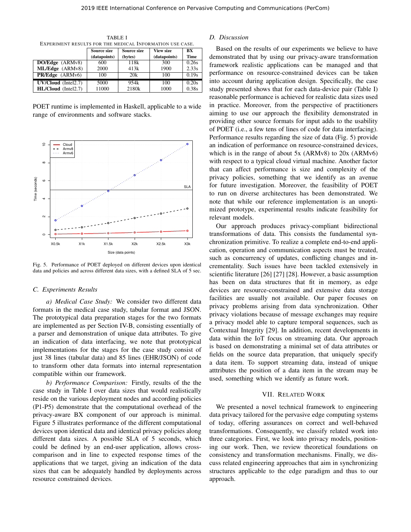| EXPERIMENT RESULTS FOR THE MEDICAL INFORMATION USE CASE. |              |                   |                  |             |  |  |
|----------------------------------------------------------|--------------|-------------------|------------------|-------------|--|--|
|                                                          | Source size  | Source size       | <b>View size</b> | BX          |  |  |
|                                                          | (datapoints) | (bytes)           | (datapoints)     | <b>Time</b> |  |  |
| <b>DO/Edge</b> (ARMv8)                                   | 600          | 118k              | 300              | 0.26s       |  |  |
| ML/Edge (ARMv8)                                          | 2000         | 413k              | 1900             | 2.33s       |  |  |
| <b>PR/Edge</b> (ARMv6)                                   | 100          | 20k               | 100              | 0.19s       |  |  |
| UV/Cloud (Intel2.7)                                      | 5000         | 954k              | 100              | 0.20s       |  |  |
| HL/Cloud (Intel2.7)                                      | 11000        | 2180 <sub>k</sub> | 1000             | 0.38s       |  |  |

TABLE I

POET runtime is implemented in Haskell, applicable to a wide range of environments and software stacks.



Fig. 5. Performance of POET deployed on different devices upon identical data and policies and across different data sizes, with a defined SLA of 5 sec.

#### *C. Experiments Results*

*a) Medical Case Study:* We consider two different data formats in the medical case study, tabular format and JSON. The prototypical data preparation stages for the two formats are implemented as per Section IV-B, consisting essentially of a parser and demonstration of unique data attributes. To give an indication of data interfacing, we note that prototypical implementations for the stages for the case study consist of just 38 lines (tabular data) and 85 lines (EHR/JSON) of code to transform other data formats into internal representation compatible within our framework.

*b) Performance Comparison:* Firstly, results of the the case study in Table I over data sizes that would realistically reside on the various deployment nodes and according policies (P1-P5) demonstrate that the computational overhead of the privacy-aware BX component of our approach is minimal. Figure 5 illustrates performance of the different computational devices upon identical data and identical privacy policies along different data sizes. A possible SLA of 5 seconds, which could be defined by an end-user application, allows crosscomparison and in line to expected response times of the applications that we target, giving an indication of the data sizes that can be adequately handled by deployments across resource constrained devices.

#### *D. Discussion*

Based on the results of our experiments we believe to have demonstrated that by using our privacy-aware transformation framework realistic applications can be managed and that performance on resource-constrained devices can be taken into account during application design. Specifically, the case study presented shows that for each data-device pair (Table I) reasonable performance is achieved for realistic data sizes used in practice. Moreover, from the perspective of practitioners aiming to use our approach the flexibility demonstrated in providing other source formats for input adds to the usability of POET (i.e., a few tens of lines of code for data interfacing). Performance results regarding the size of data (Fig. 5) provide an indication of performance on resource-constrained devices, which is in the range of about 5x (ARMv8) to 20x (ARMv6) with respect to a typical cloud virtual machine. Another factor that can affect performance is size and complexity of the privacy policies, something that we identify as an avenue for future investigation. Moreover, the feasibility of POET to run on diverse architectures has been demonstrated. We note that while our reference implementation is an unoptimized prototype, experimental results indicate feasibility for relevant models.

Our approach produces privacy-compliant bidirectional transformations of data. This consists the fundamental synchronization primitive. To realize a complete end-to-end application, operation and communication aspects must be treated, such as concurrency of updates, conflicting changes and incrementality. Such issues have been tackled extensively in scientific literature [26] [27] [28]. However, a basic assumption has been on data structures that fit in memory, as edge devices are resource-constrained and extensive data storage facilities are usually not available. Our paper focuses on privacy problems arising from data synchronization. Other privacy violations because of message exchanges may require a privacy model able to capture temporal sequences, such as Contextual Integrity [29]. In addition, recent developments in data within the IoT focus on streaming data. Our approach is based on demonstrating a minimal set of data attributes or fields on the source data preparation, that uniquely specify a data item. To support streaming data, instead of unique atttributes the position of a data item in the stream may be used, something which we identify as future work.

# VII. RELATED WORK

We presented a novel technical framework to engineering data privacy tailored for the pervasive edge computing systems of today, offering assurances on correct and well-behaved transformations. Consequently, we classify related work into three categories. First, we look into privacy models, positioning our work. Then, we review theoretical foundations on consistency and transformation mechanisms. Finally, we discuss related engineering approaches that aim in synchronizing structures applicable to the edge paradigm and thus to our approach.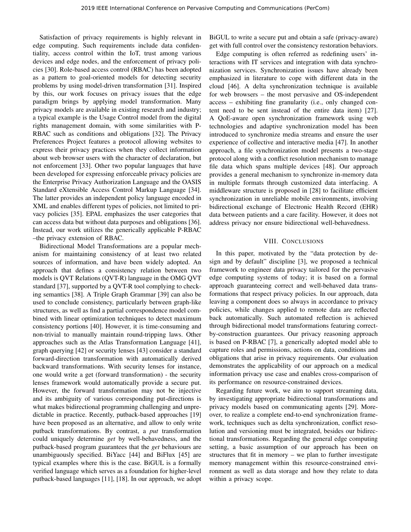Satisfaction of privacy requirements is highly relevant in edge computing. Such requirements include data confidentiality, access control within the IoT, trust among various devices and edge nodes, and the enforcement of privacy policies [30]. Role-based access control (RBAC) has been adopted as a pattern to goal-oriented models for detecting security problems by using model-driven transformation [31]. Inspired by this, our work focuses on privacy issues that the edge paradigm brings by applying model transformation. Many privacy models are available in existing research and industry; a typical example is the Usage Control model from the digital rights management domain, with some similarities with P-RBAC such as conditions and obligations [32]. The Privacy Preferences Project features a protocol allowing websites to express their privacy practices when they collect information about web browser users with the character of declaration, but not enforcement [33]. Other two popular languages that have been developed for expressing enforceable privacy policies are the Enterprise Privacy Authorization Language and the OASIS Standard eXtensible Access Control Markup Language [34]. The latter provides an independent policy language encoded in XML and enables different types of policies, not limited to privacy policies [35]. EPAL emphasizes the user categories that can access data but without data purposes and obligations [36]. Instead, our work utilizes the generically applicable P-RBAC –the privacy extension of RBAC.

Bidirectional Model Transformations are a popular mechanism for maintaining consistency of at least two related sources of information, and have been widely adopted. An approach that defines a consistency relation between two models is QVT Relations (QVT-R) language in the OMG QVT standard [37], supported by a QVT-R tool complying to checking semantics [38]. A Triple Graph Grammar [39] can also be used to conclude consistency, particularly between graph-like structures, as well as find a partial correspondence model combined with linear optimization techniques to detect maximum consistency portions [40]. However, it is time-consuming and non-trivial to manually maintain round-tripping laws. Other approaches such as the Atlas Transformation Language [41], graph querying [42] or security lenses [43] consider a standard forward-direction transformation with automatically derived backward transformations. With security lenses for instance, one would write a get (forward transformation) - the security lenses framework would automatically provide a secure put. However, the forward transformation may not be injective and its ambiguity of various corresponding put-directions is what makes bidirectional programming challenging and unpredictable in practice. Recently, putback-based approaches [19] have been proposed as an alternative, and allow to only write putback transformations. By contrast, a *put* transformation could uniquely determine *get* by well-behavedness, and the putback-based program guarantees that the *get* behaviours are unambiguously specified. BiYacc [44] and BiFlux [45] are typical examples where this is the case. BiGUL is a formally verified language which serves as a foundation for higher-level putback-based languages [11], [18]. In our approach, we adopt

BiGUL to write a secure put and obtain a safe (privacy-aware) get with full control over the consistency restoration behaviors.

Edge computing is often referred as redefining users' interactions with IT services and integration with data synchronization services. Synchronization issues have already been emphasized in literature to cope with different data in the cloud [46]. A delta synchronization technique is available for web browsers – the most pervasive and OS-independent access – exhibiting fine granularity (i.e., only changed content need to be sent instead of the entire data item) [27]. A QoE-aware open synchronization framework using web technologies and adaptive synchronization model has been introduced to synchronize media streams and ensure the user experience of collective and interactive media [47]. In another approach, a file synchronization model presents a two-stage protocol along with a conflict resolution mechanism to manage file data which spans multiple devices [48]. Our approach provides a general mechanism to synchronize in-memory data in multiple formats through customized data interfacing. A middleware structure is proposed in [28] to facilitate efficient synchronization in unreliable mobile environments, involving bidirectional exchange of Electronic Health Record (EHR) data between patients and a care facility. However, it does not address privacy nor ensure bidirectional well-behavedness.

#### VIII. CONCLUSIONS

In this paper, motivated by the "data protection by design and by default" discipline [3], we proposed a technical framework to engineer data privacy tailored for the pervasive edge computing systems of today; it is based on a formal approach guaranteeing correct and well-behaved data transformations that respect privacy policies. In our approach, data leaving a component does so always in accordance to privacy policies, while changes applied to remote data are reflected back automatically. Such automated reflection is achieved through bidirectional model transformations featuring correctby-construction guarantees. Our privacy reasoning approach is based on P-RBAC [7], a generically adopted model able to capture roles and permissions, actions on data, conditions and obligations that arise in privacy requirements. Our evaluation demonstrates the applicability of our approach on a medical information privacy use case and enables cross-comparison of its performance on resource-constrained devices.

Regarding future work, we aim to support streaming data, by investigating appropriate bidirectional transformations and privacy models based on communicating agents [29]. Moreover, to realize a complete end-to-end synchronization framework, techniques such as delta synchronization, conflict resolution and versioning must be integrated, besides our bidirectional transformations. Regarding the general edge computing setting, a basic assumption of our approach has been on structures that fit in memory – we plan to further investigate memory management within this resource-constrained environment as well as data storage and how they relate to data within a privacy scope.